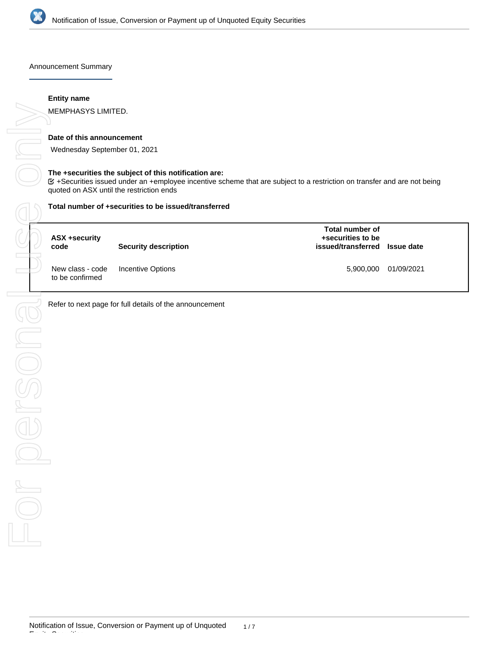

Announcement Summary

# **Entity name**

# **Date of this announcement**

Wednesday September 01, 2021

## **The +securities the subject of this notification are:**

+Securities issued under an +employee incentive scheme that are subject to a restriction on transfer and are not being

#### **Total number of +securities to be issued/transferred**

| ASX +security<br>code               | Security description | Total number of<br>+securities to be<br>issued/transferred Issue date |            |
|-------------------------------------|----------------------|-----------------------------------------------------------------------|------------|
| New class - code<br>to be confirmed | Incentive Options    | 5,900,000                                                             | 01/09/2021 |

Refer to next page for full details of the announcement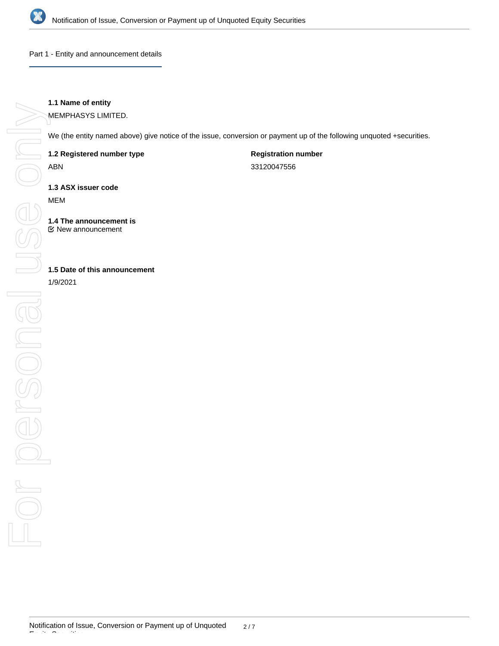

Part 1 - Entity and announcement details

# **1.1 Name of entity**

MEMPHASYS LIMITED.

We (the entity named above) give notice of the issue, conversion or payment up of the following unquoted +securities.

**1.2 Registered number type**

ABN

**Registration number**

33120047556

**1.3 ASX issuer code**

MEM

**1.4 The announcement is** New announcement

**1.5 Date of this announcement**

1/9/2021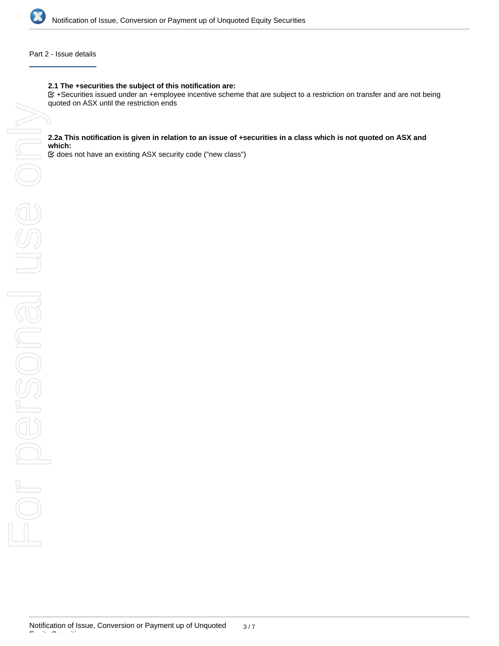

# Part 2 - Issue details

## **2.1 The +securities the subject of this notification are:**

+Securities issued under an +employee incentive scheme that are subject to a restriction on transfer and are not being

#### **2.2a This notification is given in relation to an issue of +securities in a class which is not quoted on ASX and which:**

does not have an existing ASX security code ("new class")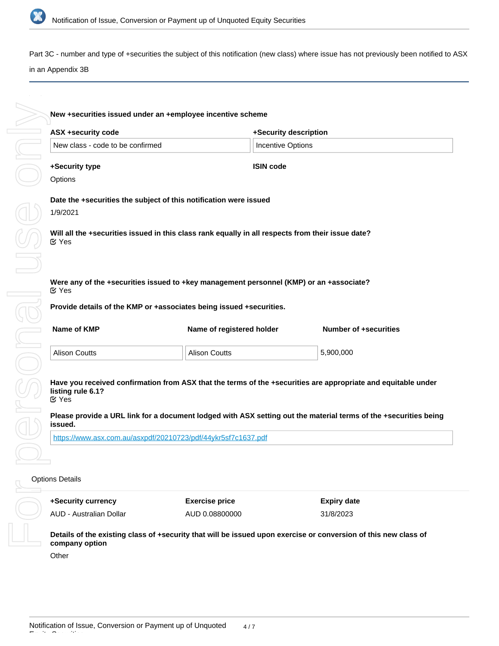

Part 3C - number and type of +securities the subject of this notification (new class) where issue has not previously been notified to ASX

in an Appendix 3B

| <b>ASX +security code</b>                                           | +Security description                                                                                            |                              |  |
|---------------------------------------------------------------------|------------------------------------------------------------------------------------------------------------------|------------------------------|--|
| New class - code to be confirmed                                    | <b>Incentive Options</b>                                                                                         |                              |  |
| +Security type                                                      | <b>ISIN code</b>                                                                                                 |                              |  |
| Options                                                             |                                                                                                                  |                              |  |
|                                                                     | Date the +securities the subject of this notification were issued                                                |                              |  |
| 1/9/2021                                                            |                                                                                                                  |                              |  |
| $\mathfrak{C}$ Yes                                                  | Will all the +securities issued in this class rank equally in all respects from their issue date?                |                              |  |
| $\mathfrak{C}$ Yes                                                  | Were any of the +securities issued to +key management personnel (KMP) or an +associate?                          |                              |  |
| Provide details of the KMP or +associates being issued +securities. |                                                                                                                  |                              |  |
| Name of KMP                                                         | Name of registered holder                                                                                        | <b>Number of +securities</b> |  |
| <b>Alison Coutts</b>                                                | <b>Alison Coutts</b>                                                                                             | 5,900,000                    |  |
| listing rule 6.1?<br><b>M</b> Yes                                   | Have you received confirmation from ASX that the terms of the +securities are appropriate and equitable under    |                              |  |
|                                                                     | Please provide a URL link for a document lodged with ASX setting out the material terms of the +securities being |                              |  |
| issued.                                                             |                                                                                                                  |                              |  |
|                                                                     | https://www.asx.com.au/asxpdf/20210723/pdf/44ykr5sf7c1637.pdf                                                    |                              |  |
|                                                                     |                                                                                                                  |                              |  |
| <b>Options Details</b><br>+Security currency                        | <b>Exercise price</b>                                                                                            | <b>Expiry date</b>           |  |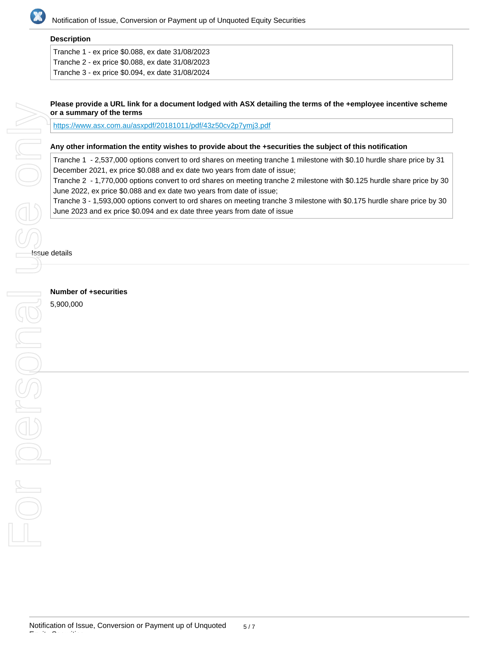

# **Description**

Tranche 1 - ex price \$0.088, ex date 31/08/2023 Tranche 2 - ex price \$0.088, ex date 31/08/2023 Tranche 3 - ex price \$0.094, ex date 31/08/2024

# **Please provide a URL link for a document lodged with ASX detailing the terms of the +employee incentive scheme or a summary of the terms**

<https://www.asx.com.au/asxpdf/20181011/pdf/43z50cv2p7ymj3.pdf>

#### **Any other information the entity wishes to provide about the +securities the subject of this notification**

Tranche 1 - 2,537,000 options convert to ord shares on meeting tranche 1 milestone with \$0.10 hurdle share price by 31 December 2021, ex price \$0.088 and ex date two years from date of issue;

Tranche 2 - 1,770,000 options convert to ord shares on meeting tranche 2 milestone with \$0.125 hurdle share price by 30 June 2022, ex price \$0.088 and ex date two years from date of issue;

Tranche 3 - 1,593,000 options convert to ord shares on meeting tranche 3 milestone with \$0.175 hurdle share price by 30 June 2023 and ex price \$0.094 and ex date three years from date of issue

**Issue details** 

5,900,000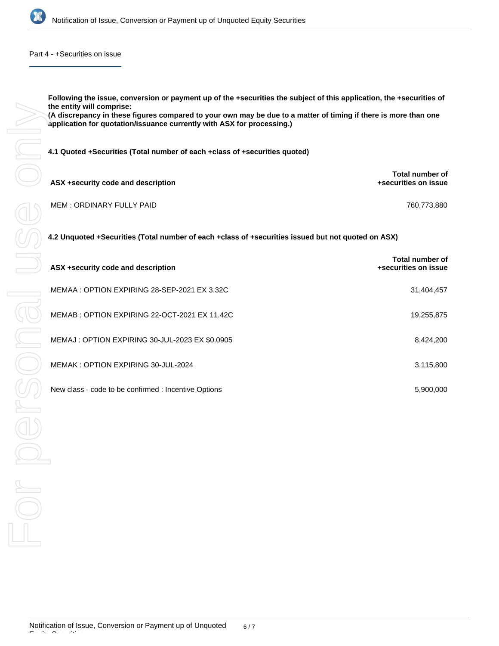

Part 4 - +Securities on issue

**Following the issue, conversion or payment up of the +securities the subject of this application, the +securities of the entity will comprise: (A discrepancy in these figures compared to your own may be due to a matter of timing if there is more than one application for quotation/issuance currently with ASX for processing.) 4.1 Quoted +Securities (Total number of each +class of +securities quoted) ASX +security code and description Total number of +securities on issue** MEM : ORDINARY FULLY PAID 760,773,880 AM 2012 12:00 760,773,880 AM 2012 12:00 760,773,880 AM 2013 12:00 760,773,880 AM 2013 12:00 760,773,880 AM 2013 12:00 760,773,880 AM 2013 12:00 760,773,880 AM 2013 12:00 760,773,880 AM **4.2 Unquoted +Securities (Total number of each +class of +securities issued but not quoted on ASX)**

| ASX +security code and description                   | Total number of<br>+securities on issue |
|------------------------------------------------------|-----------------------------------------|
| MEMAA : OPTION EXPIRING 28-SEP-2021 EX 3.32C         | 31,404,457                              |
| MEMAB: OPTION EXPIRING 22-OCT-2021 EX 11.42C         | 19,255,875                              |
| MEMAJ: OPTION EXPIRING 30-JUL-2023 EX \$0.0905       | 8,424,200                               |
| MEMAK: OPTION EXPIRING 30-JUL-2024                   | 3,115,800                               |
| New class - code to be confirmed : Incentive Options | 5,900,000                               |